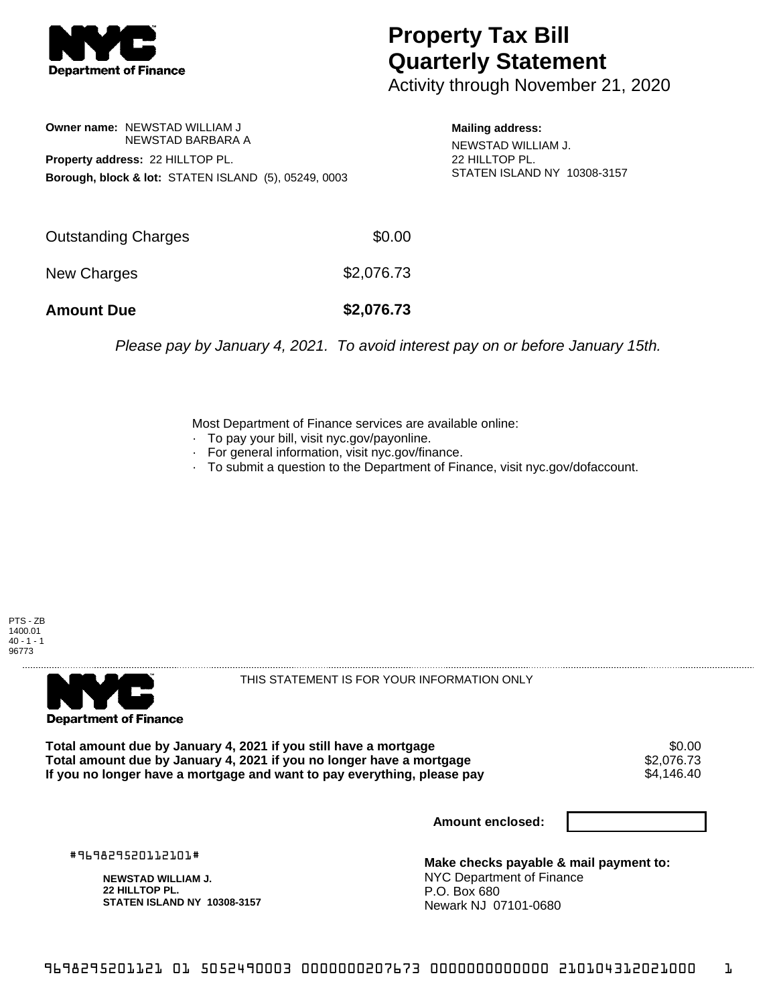

## **Property Tax Bill Quarterly Statement**

Activity through November 21, 2020

## **Owner name:** NEWSTAD WILLIAM J NEWSTAD BARBARA A **Property address:** 22 HILLTOP PL. **Borough, block & lot:** STATEN ISLAND (5), 05249, 0003

**Mailing address:** NEWSTAD WILLIAM J. 22 HILLTOP PL. STATEN ISLAND NY 10308-3157

| <b>Amount Due</b>   | \$2,076.73 |
|---------------------|------------|
| New Charges         | \$2,076.73 |
| Outstanding Charges | \$0.00     |

Please pay by January 4, 2021. To avoid interest pay on or before January 15th.

Most Department of Finance services are available online:

- · To pay your bill, visit nyc.gov/payonline.
- For general information, visit nyc.gov/finance.
- · To submit a question to the Department of Finance, visit nyc.gov/dofaccount.





THIS STATEMENT IS FOR YOUR INFORMATION ONLY

Total amount due by January 4, 2021 if you still have a mortgage  $$0.00$ <br>Total amount due by January 4, 2021 if you no longer have a mortgage  $$2,076.73$ **Total amount due by January 4, 2021 if you no longer have a mortgage**  $$2,076.73$ **<br>If you no longer have a mortgage and want to pay everything, please pay**  $$4.146.40$ If you no longer have a mortgage and want to pay everything, please pay

**Amount enclosed:**

#969829520112101#

**NEWSTAD WILLIAM J. 22 HILLTOP PL. STATEN ISLAND NY 10308-3157**

**Make checks payable & mail payment to:** NYC Department of Finance P.O. Box 680 Newark NJ 07101-0680